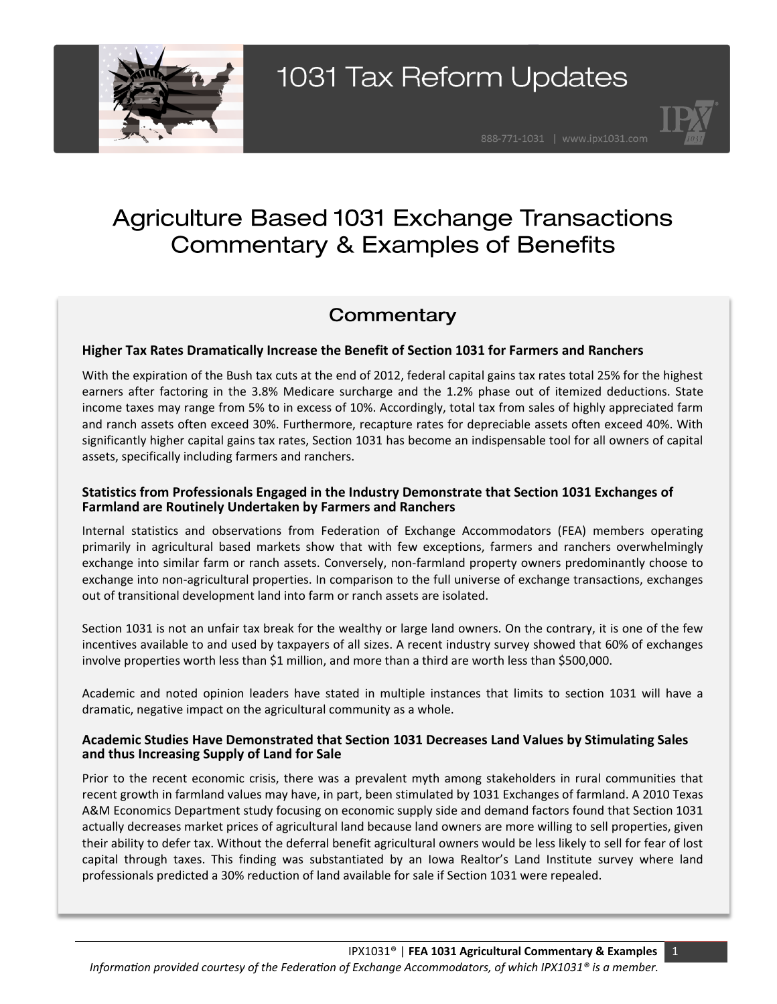

### **Agriculture Based 1031 Exchange Transactions Commentary & Examples of Benefits**

### Commentary

### **Higher Tax Rates Dramatically Increase the Benefit of Section 1031 for Farmers and Ranchers**

With the expiration of the Bush tax cuts at the end of 2012, federal capital gains tax rates total 25% for the highest earners after factoring in the 3.8% Medicare surcharge and the 1.2% phase out of itemized deductions. State income taxes may range from 5% to in excess of 10%. Accordingly, total tax from sales of highly appreciated farm and ranch assets often exceed 30%. Furthermore, recapture rates for depreciable assets often exceed 40%. With significantly higher capital gains tax rates, Section 1031 has become an indispensable tool for all owners of capital assets, specifically including farmers and ranchers.

#### **Statistics from Professionals Engaged in the Industry Demonstrate that Section 1031 Exchanges of Farmland are Routinely Undertaken by Farmers and Ranchers**

Internal statistics and observations from Federation of Exchange Accommodators (FEA) members operating primarily in agricultural based markets show that with few exceptions, farmers and ranchers overwhelmingly exchange into similar farm or ranch assets. Conversely, non-farmland property owners predominantly choose to exchange into non-agricultural properties. In comparison to the full universe of exchange transactions, exchanges out of transitional development land into farm or ranch assets are isolated.

Section 1031 is not an unfair tax break for the wealthy or large land owners. On the contrary, it is one of the few incentives available to and used by taxpayers of all sizes. A recent industry survey showed that 60% of exchanges involve properties worth less than \$1 million, and more than a third are worth less than \$500,000.

Academic and noted opinion leaders have stated in multiple instances that limits to section 1031 will have a dramatic, negative impact on the agricultural community as a whole.

#### **Academic Studies Have Demonstrated that Section 1031 Decreases Land Values by Stimulating Sales and thus Increasing Supply of Land for Sale**

Prior to the recent economic crisis, there was a prevalent myth among stakeholders in rural communities that recent growth in farmland values may have, in part, been stimulated by 1031 Exchanges of farmland. A 2010 Texas A&M Economics Department study focusing on economic supply side and demand factors found that Section 1031 actually decreases market prices of agricultural land because land owners are more willing to sell properties, given their ability to defer tax. Without the deferral benefit agricultural owners would be less likely to sell for fear of lost capital through taxes. This finding was substantiated by an Iowa Realtor's Land Institute survey where land professionals predicted a 30% reduction of land available for sale if Section 1031 were repealed.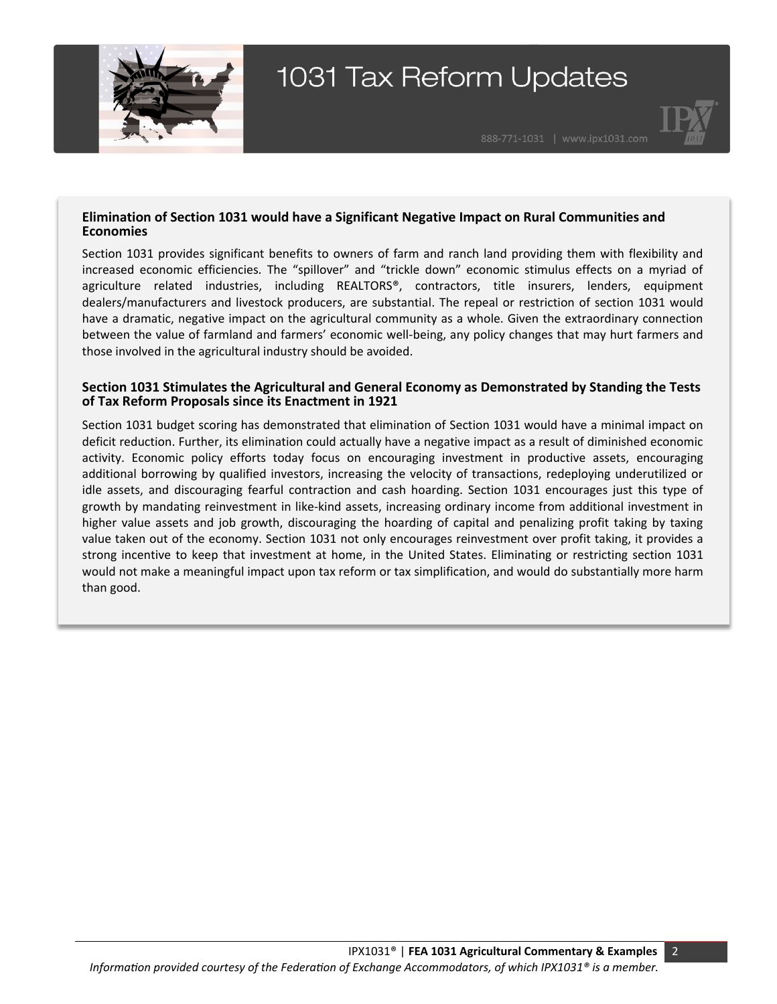



#### **Elimination of Section 1031 would have a Significant Negative Impact on Rural Communities and Economies**

Section 1031 provides significant benefits to owners of farm and ranch land providing them with flexibility and increased economic efficiencies. The "spillover" and "trickle down" economic stimulus effects on a myriad of agriculture related industries, including REALTORS®, contractors, title insurers, lenders, equipment dealers/manufacturers and livestock producers, are substantial. The repeal or restriction of section 1031 would have a dramatic, negative impact on the agricultural community as a whole. Given the extraordinary connection between the value of farmland and farmers' economic well-being, any policy changes that may hurt farmers and those involved in the agricultural industry should be avoided.

#### **Section 1031 Stimulates the Agricultural and General Economy as Demonstrated by Standing the Tests of Tax Reform Proposals since its Enactment in 1921**

Section 1031 budget scoring has demonstrated that elimination of Section 1031 would have a minimal impact on deficit reduction. Further, its elimination could actually have a negative impact as a result of diminished economic activity. Economic policy efforts today focus on encouraging investment in productive assets, encouraging additional borrowing by qualified investors, increasing the velocity of transactions, redeploying underutilized or idle assets, and discouraging fearful contraction and cash hoarding. Section 1031 encourages just this type of growth by mandating reinvestment in like-kind assets, increasing ordinary income from additional investment in higher value assets and job growth, discouraging the hoarding of capital and penalizing profit taking by taxing value taken out of the economy. Section 1031 not only encourages reinvestment over profit taking, it provides a strong incentive to keep that investment at home, in the United States. Eliminating or restricting section 1031 would not make a meaningful impact upon tax reform or tax simplification, and would do substantially more harm than good.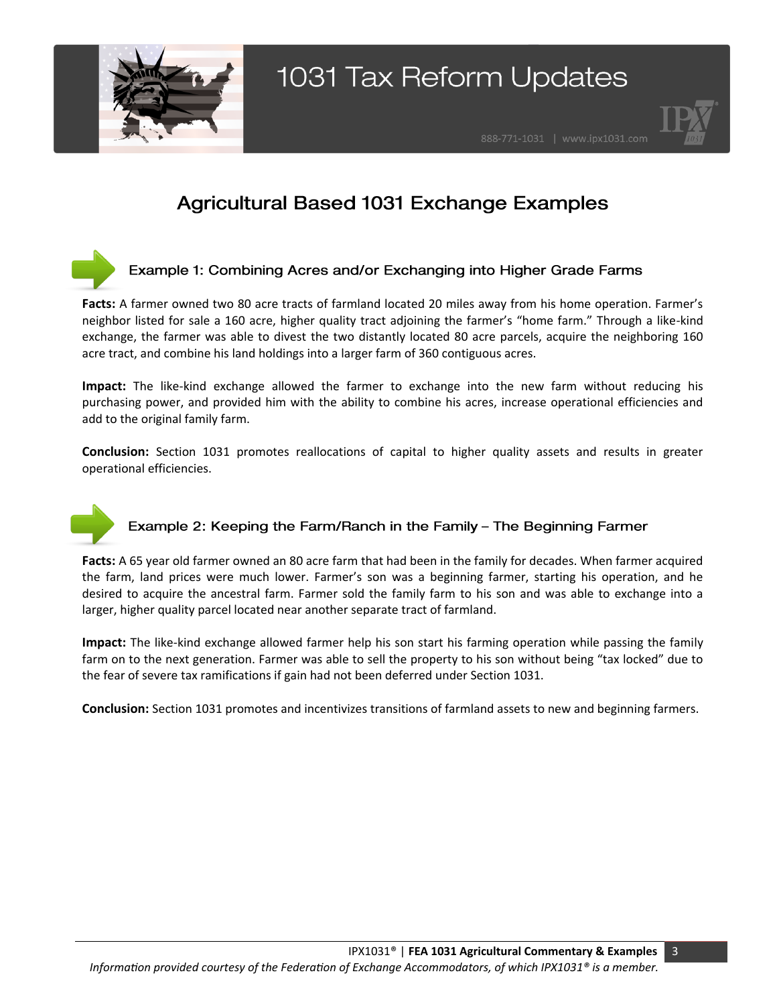



### **Agricultural Based 1031 Exchange Examples**

### Example 1: Combining Acres and/or Exchanging into Higher Grade Farms

**Facts:** A farmer owned two 80 acre tracts of farmland located 20 miles away from his home operation. Farmer's neighbor listed for sale a 160 acre, higher quality tract adjoining the farmer's "home farm." Through a like-kind exchange, the farmer was able to divest the two distantly located 80 acre parcels, acquire the neighboring 160 acre tract, and combine his land holdings into a larger farm of 360 contiguous acres.

**Impact:** The like-kind exchange allowed the farmer to exchange into the new farm without reducing his purchasing power, and provided him with the ability to combine his acres, increase operational efficiencies and add to the original family farm.

**Conclusion:** Section 1031 promotes reallocations of capital to higher quality assets and results in greater operational efficiencies.

### Example 2: Keeping the Farm/Ranch in the Family - The Beginning Farmer

**Facts:** A 65 year old farmer owned an 80 acre farm that had been in the family for decades. When farmer acquired the farm, land prices were much lower. Farmer's son was a beginning farmer, starting his operation, and he desired to acquire the ancestral farm. Farmer sold the family farm to his son and was able to exchange into a larger, higher quality parcel located near another separate tract of farmland.

**Impact:** The like-kind exchange allowed farmer help his son start his farming operation while passing the family farm on to the next generation. Farmer was able to sell the property to his son without being "tax locked" due to the fear of severe tax ramifications if gain had not been deferred under Section 1031.

**Conclusion:** Section 1031 promotes and incentivizes transitions of farmland assets to new and beginning farmers.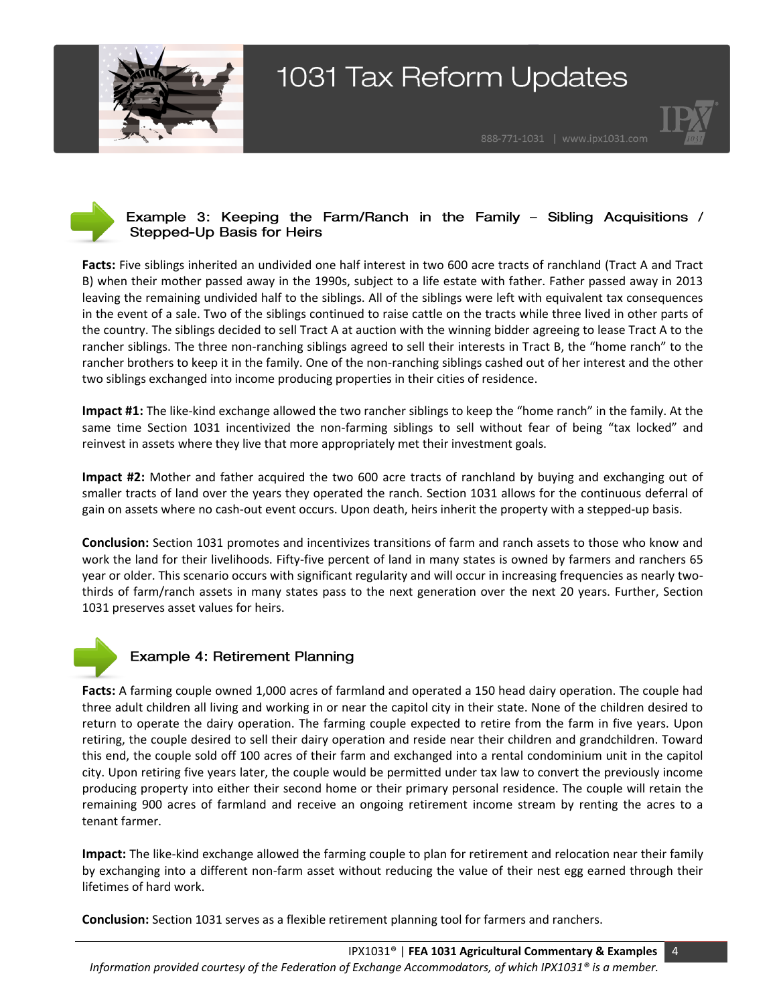



### Example 3: Keeping the Farm/Ranch in the Family - Sibling Acquisitions / Stepped-Up Basis for Heirs

**Facts:** Five siblings inherited an undivided one half interest in two 600 acre tracts of ranchland (Tract A and Tract B) when their mother passed away in the 1990s, subject to a life estate with father. Father passed away in 2013 leaving the remaining undivided half to the siblings. All of the siblings were left with equivalent tax consequences in the event of a sale. Two of the siblings continued to raise cattle on the tracts while three lived in other parts of the country. The siblings decided to sell Tract A at auction with the winning bidder agreeing to lease Tract A to the rancher siblings. The three non-ranching siblings agreed to sell their interests in Tract B, the "home ranch" to the rancher brothers to keep it in the family. One of the non-ranching siblings cashed out of her interest and the other two siblings exchanged into income producing properties in their cities of residence.

**Impact #1:** The like-kind exchange allowed the two rancher siblings to keep the "home ranch" in the family. At the same time Section 1031 incentivized the non-farming siblings to sell without fear of being "tax locked" and reinvest in assets where they live that more appropriately met their investment goals.

**Impact #2:** Mother and father acquired the two 600 acre tracts of ranchland by buying and exchanging out of smaller tracts of land over the years they operated the ranch. Section 1031 allows for the continuous deferral of gain on assets where no cash-out event occurs. Upon death, heirs inherit the property with a stepped-up basis.

**Conclusion:** Section 1031 promotes and incentivizes transitions of farm and ranch assets to those who know and work the land for their livelihoods. Fifty-five percent of land in many states is owned by farmers and ranchers 65 year or older. This scenario occurs with significant regularity and will occur in increasing frequencies as nearly twothirds of farm/ranch assets in many states pass to the next generation over the next 20 years. Further, Section 1031 preserves asset values for heirs.



### Example 4: Retirement Planning

**Facts:** A farming couple owned 1,000 acres of farmland and operated a 150 head dairy operation. The couple had three adult children all living and working in or near the capitol city in their state. None of the children desired to return to operate the dairy operation. The farming couple expected to retire from the farm in five years. Upon retiring, the couple desired to sell their dairy operation and reside near their children and grandchildren. Toward this end, the couple sold off 100 acres of their farm and exchanged into a rental condominium unit in the capitol city. Upon retiring five years later, the couple would be permitted under tax law to convert the previously income producing property into either their second home or their primary personal residence. The couple will retain the remaining 900 acres of farmland and receive an ongoing retirement income stream by renting the acres to a tenant farmer.

**Impact:** The like-kind exchange allowed the farming couple to plan for retirement and relocation near their family by exchanging into a different non-farm asset without reducing the value of their nest egg earned through their lifetimes of hard work.

**Conclusion:** Section 1031 serves as a flexible retirement planning tool for farmers and ranchers.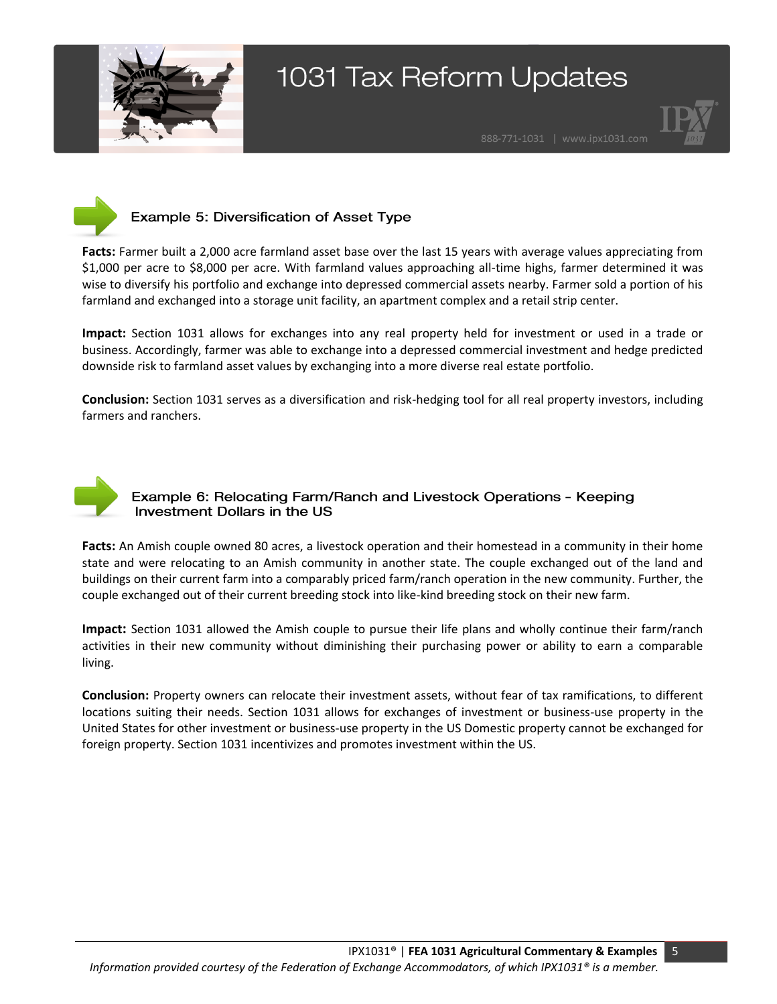





### Example 5: Diversification of Asset Type

**Facts:** Farmer built a 2,000 acre farmland asset base over the last 15 years with average values appreciating from \$1,000 per acre to \$8,000 per acre. With farmland values approaching all-time highs, farmer determined it was wise to diversify his portfolio and exchange into depressed commercial assets nearby. Farmer sold a portion of his farmland and exchanged into a storage unit facility, an apartment complex and a retail strip center.

**Impact:** Section 1031 allows for exchanges into any real property held for investment or used in a trade or business. Accordingly, farmer was able to exchange into a depressed commercial investment and hedge predicted downside risk to farmland asset values by exchanging into a more diverse real estate portfolio.

**Conclusion:** Section 1031 serves as a diversification and risk-hedging tool for all real property investors, including farmers and ranchers.



### Example 6: Relocating Farm/Ranch and Livestock Operations - Keeping Investment Dollars in the US

**Facts:** An Amish couple owned 80 acres, a livestock operation and their homestead in a community in their home state and were relocating to an Amish community in another state. The couple exchanged out of the land and buildings on their current farm into a comparably priced farm/ranch operation in the new community. Further, the couple exchanged out of their current breeding stock into like-kind breeding stock on their new farm.

**Impact:** Section 1031 allowed the Amish couple to pursue their life plans and wholly continue their farm/ranch activities in their new community without diminishing their purchasing power or ability to earn a comparable living.

**Conclusion:** Property owners can relocate their investment assets, without fear of tax ramifications, to different locations suiting their needs. Section 1031 allows for exchanges of investment or business-use property in the United States for other investment or business-use property in the US Domestic property cannot be exchanged for foreign property. Section 1031 incentivizes and promotes investment within the US.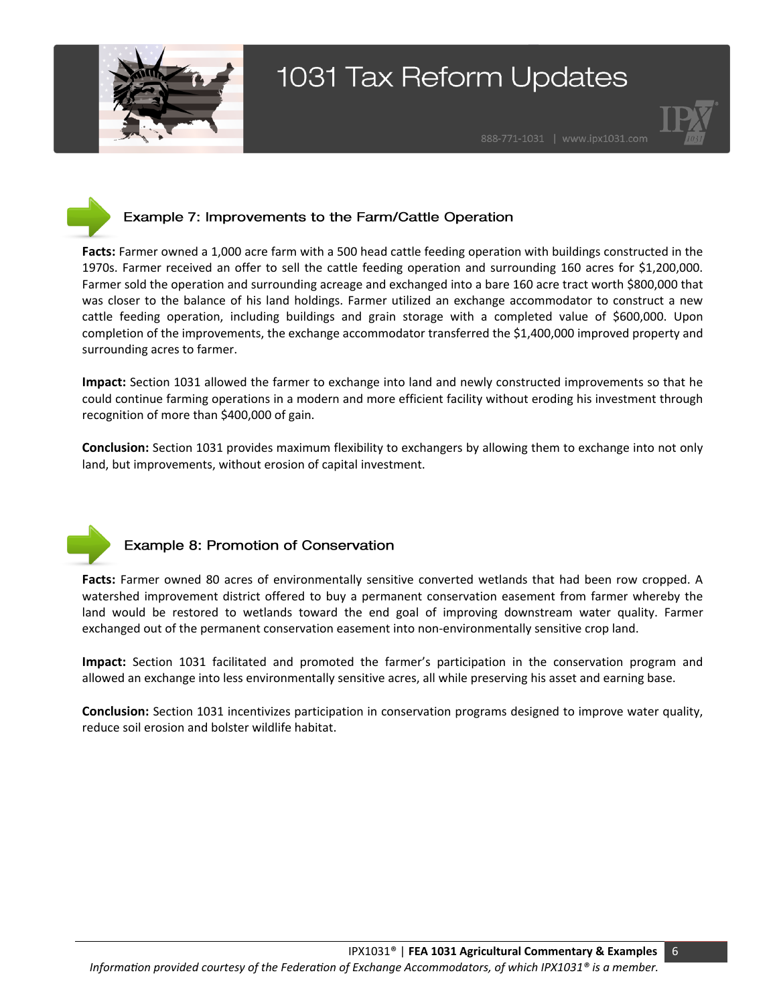





### Example 7: Improvements to the Farm/Cattle Operation

**Facts:** Farmer owned a 1,000 acre farm with a 500 head cattle feeding operation with buildings constructed in the 1970s. Farmer received an offer to sell the cattle feeding operation and surrounding 160 acres for \$1,200,000. Farmer sold the operation and surrounding acreage and exchanged into a bare 160 acre tract worth \$800,000 that was closer to the balance of his land holdings. Farmer utilized an exchange accommodator to construct a new cattle feeding operation, including buildings and grain storage with a completed value of \$600,000. Upon completion of the improvements, the exchange accommodator transferred the \$1,400,000 improved property and surrounding acres to farmer.

**Impact:** Section 1031 allowed the farmer to exchange into land and newly constructed improvements so that he could continue farming operations in a modern and more efficient facility without eroding his investment through recognition of more than \$400,000 of gain.

**Conclusion:** Section 1031 provides maximum flexibility to exchangers by allowing them to exchange into not only land, but improvements, without erosion of capital investment.



### Example 8: Promotion of Conservation

**Facts:** Farmer owned 80 acres of environmentally sensitive converted wetlands that had been row cropped. A watershed improvement district offered to buy a permanent conservation easement from farmer whereby the land would be restored to wetlands toward the end goal of improving downstream water quality. Farmer exchanged out of the permanent conservation easement into non-environmentally sensitive crop land.

**Impact:** Section 1031 facilitated and promoted the farmer's participation in the conservation program and allowed an exchange into less environmentally sensitive acres, all while preserving his asset and earning base.

**Conclusion:** Section 1031 incentivizes participation in conservation programs designed to improve water quality, reduce soil erosion and bolster wildlife habitat.